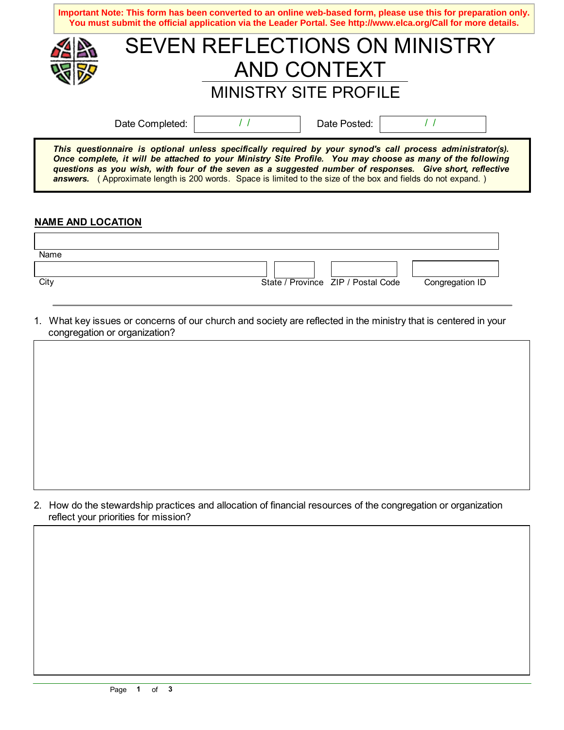|                                                                                                                                                                                                                                                                                                                                     | Important Note: This form has been converted to an online web-based form, please use this for preparation only.<br>You must submit the official application via the Leader Portal. See http://www.elca.org/Call for more details. |  |  |  |  |
|-------------------------------------------------------------------------------------------------------------------------------------------------------------------------------------------------------------------------------------------------------------------------------------------------------------------------------------|-----------------------------------------------------------------------------------------------------------------------------------------------------------------------------------------------------------------------------------|--|--|--|--|
|                                                                                                                                                                                                                                                                                                                                     | SEVEN REFLECTIONS ON MINISTRY                                                                                                                                                                                                     |  |  |  |  |
|                                                                                                                                                                                                                                                                                                                                     | AND CONTEXT                                                                                                                                                                                                                       |  |  |  |  |
|                                                                                                                                                                                                                                                                                                                                     | <b>MINISTRY SITE PROFILE</b>                                                                                                                                                                                                      |  |  |  |  |
|                                                                                                                                                                                                                                                                                                                                     | Date Posted:<br>Date Completed:                                                                                                                                                                                                   |  |  |  |  |
| This questionnaire is optional unless specifically required by your synod's call process administrator(s).<br>Once complete, it will be attached to your Ministry Site Profile. You may choose as many of the following<br>questions as you wish, with four of the seven as a suggested number of responses. Give short, reflective |                                                                                                                                                                                                                                   |  |  |  |  |

## **NAME AND LOCATION**

| Name |                                    |                 |
|------|------------------------------------|-----------------|
|      |                                    |                 |
| City | State / Province ZIP / Postal Code | Congregation ID |

**answers.** ( Approximate length is 200 words. Space is limited to the size of the box and fields do not expand.)

1. What key issues or concerns of our church and society are reflected in the ministry that is centered in your congregation or organization?

2. How do the stewardship practices and allocation of financial resources of the congregation or organization reflect your priorities for mission?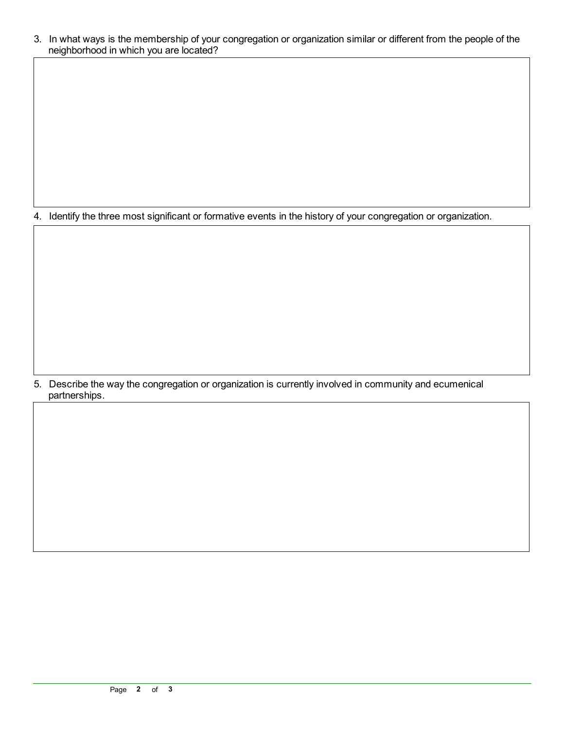3. In what ways is the membership of your congregation or organization similar or different from the people of the neighborhood in which you are located?

4. Identify the three most significant or formative events in the history of your congregation or organization.

5. Describe the way the congregation or organization is currently involved in community and ecumenical partnerships.